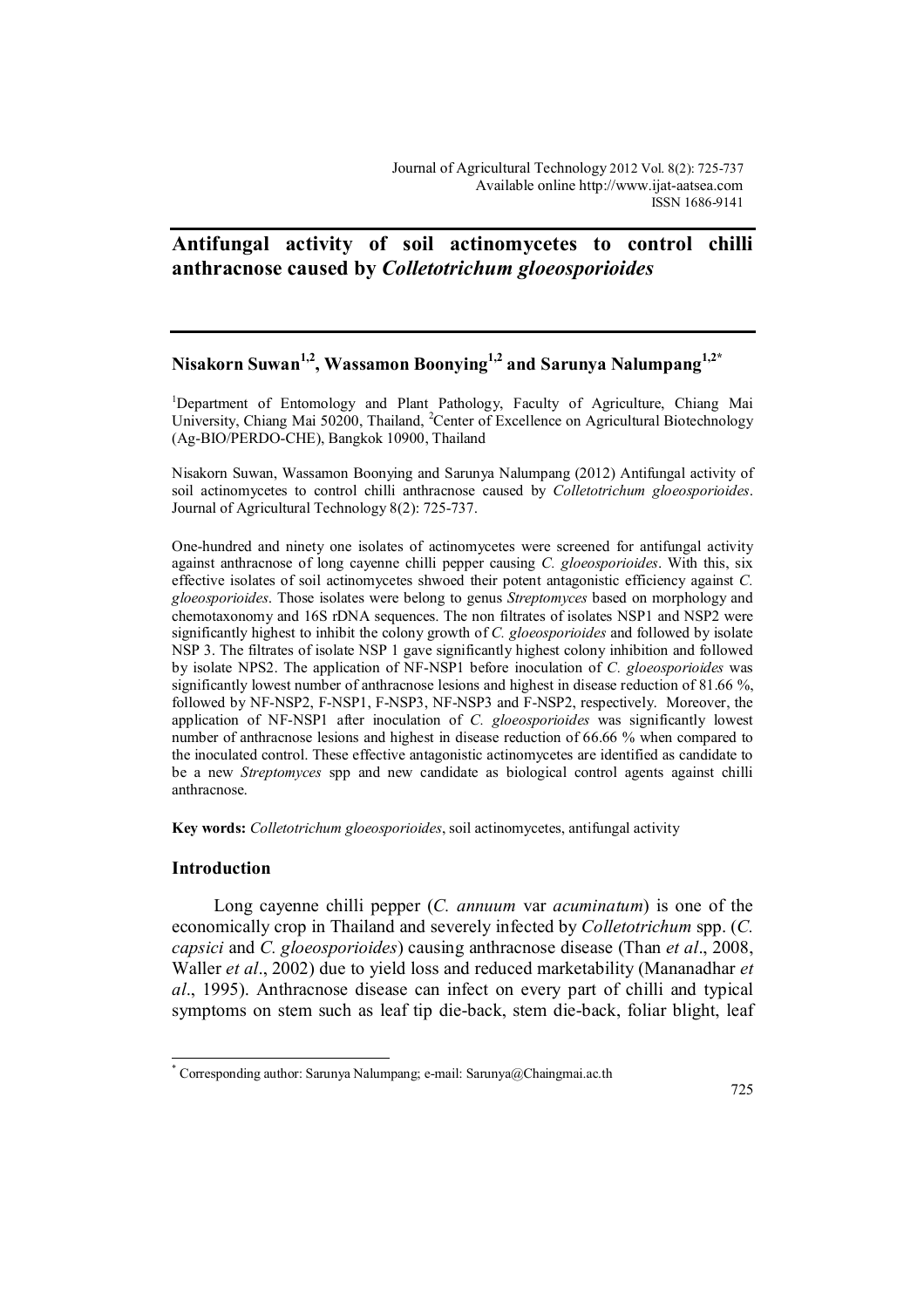# **Antifungal activity of soil actinomycetes to control chilli anthracnose caused by** *Colletotrichum gloeosporioides*

# **Nisakorn Suwan1,2, Wassamon Boonying1,2 and Sarunya Nalumpang1,2\***

<sup>1</sup>Department of Entomology and Plant Pathology, Faculty of Agriculture, Chiang Mai University, Chiang Mai 50200, Thailand, <sup>2</sup>Center of Excellence on Agricultural Biotechnology (Ag-BIO/PERDO-CHE), Bangkok 10900, Thailand

Nisakorn Suwan, Wassamon Boonying and Sarunya Nalumpang (2012) Antifungal activity of soil actinomycetes to control chilli anthracnose caused by *Colletotrichum gloeosporioides*. Journal of Agricultural Technology 8(2): 725-737.

One-hundred and ninety one isolates of actinomycetes were screened for antifungal activity against anthracnose of long cayenne chilli pepper causing *C. gloeosporioides*. With this, six effective isolates of soil actinomycetes shwoed their potent antagonistic efficiency against *C. gloeosporioides*. Those isolates were belong to genus *Streptomyces* based on morphology and chemotaxonomy and 16S rDNA sequences. The non filtrates of isolates NSP1 and NSP2 were significantly highest to inhibit the colony growth of *C. gloeosporioides* and followed by isolate NSP 3. The filtrates of isolate NSP 1 gave significantly highest colony inhibition and followed by isolate NPS2. The application of NF-NSP1 before inoculation of *C. gloeosporioides* was significantly lowest number of anthracnose lesions and highest in disease reduction of 81.66 %, followed by NF-NSP2, F-NSP1, F-NSP3, NF-NSP3 and F-NSP2, respectively. Moreover, the application of NF-NSP1 after inoculation of *C. gloeosporioides* was significantly lowest number of anthracnose lesions and highest in disease reduction of 66.66 % when compared to the inoculated control. These effective antagonistic actinomycetes are identified as candidate to be a new *Streptomyces* spp and new candidate as biological control agents against chilli anthracnose.

**Key words:** *Colletotrichum gloeosporioides*, soil actinomycetes, antifungal activity

#### **Introduction**

 $\overline{a}$ 

Long cayenne chilli pepper (*C. annuum* var *acuminatum*) is one of the economically crop in Thailand and severely infected by *Colletotrichum* spp. (*C. capsici* and *C. gloeosporioides*) causing anthracnose disease (Than *et al*., 2008, Waller *et al*., 2002) due to yield loss and reduced marketability (Mananadhar *et al*., 1995). Anthracnose disease can infect on every part of chilli and typical symptoms on stem such as leaf tip die-back, stem die-back, foliar blight, leaf

<sup>\*</sup> Corresponding author: Sarunya Nalumpang; e-mail: Sarunya@Chaingmai.ac.th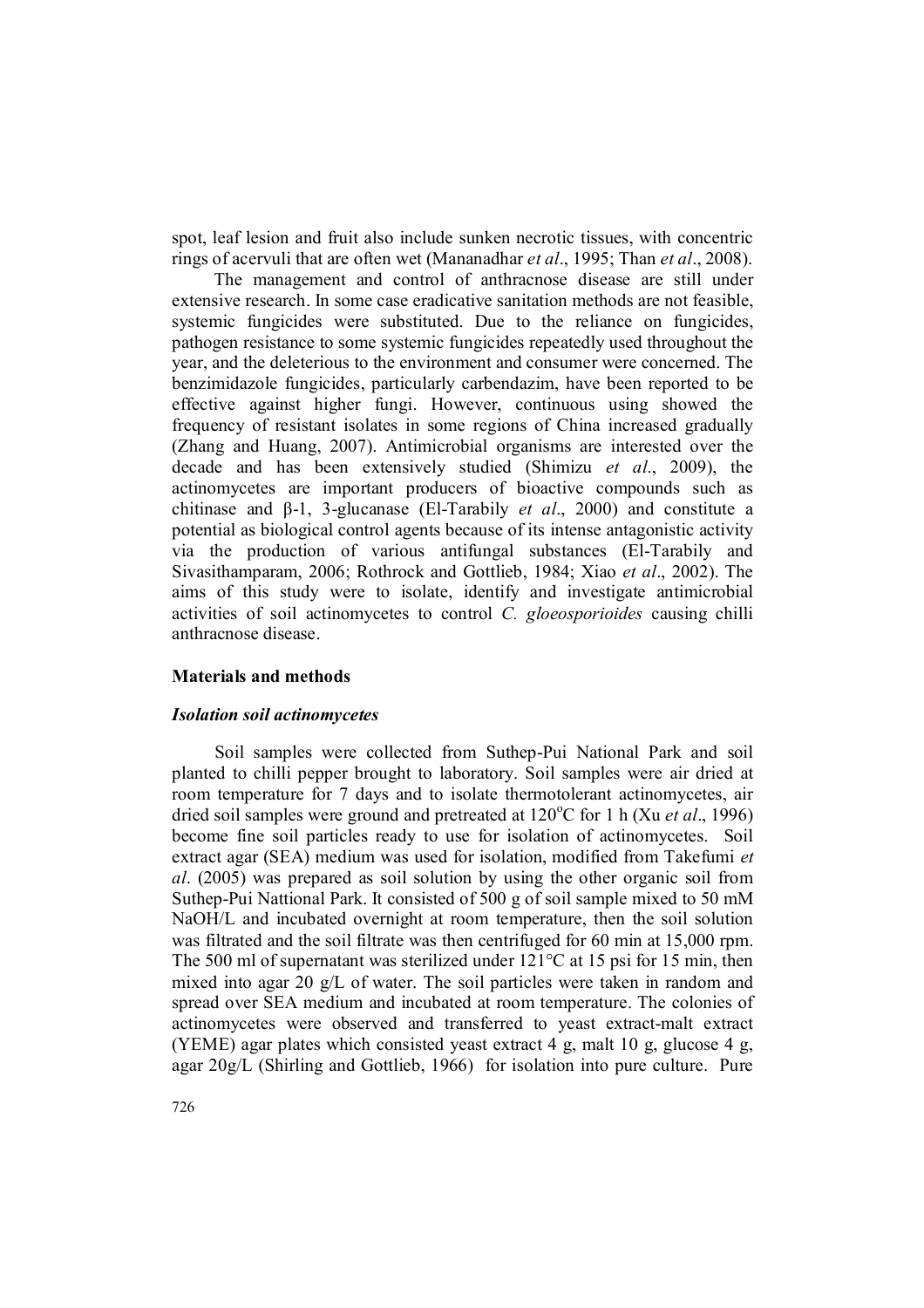spot, leaf lesion and fruit also include sunken necrotic tissues, with concentric rings of acervuli that are often wet (Mananadhar *et al*., 1995; Than *et al*., 2008).

The management and control of anthracnose disease are still under extensive research. In some case eradicative sanitation methods are not feasible, systemic fungicides were substituted. Due to the reliance on fungicides, pathogen resistance to some systemic fungicides repeatedly used throughout the year, and the deleterious to the environment and consumer were concerned. The benzimidazole fungicides, particularly carbendazim, have been reported to be effective against higher fungi. However, continuous using showed the frequency of resistant isolates in some regions of China increased gradually (Zhang and Huang, 2007). Antimicrobial organisms are interested over the decade and has been extensively studied (Shimizu *et al*., 2009), the actinomycetes are important producers of bioactive compounds such as chitinase and β-1, 3-glucanase (El-Tarabily *et al*., 2000) and constitute a potential as biological control agents because of its intense antagonistic activity via the production of various antifungal substances (El-Tarabily and Sivasithamparam, 2006; Rothrock and Gottlieb, 1984; Xiao *et al*., 2002). The aims of this study were to isolate, identify and investigate antimicrobial activities of soil actinomycetes to control *C. gloeosporioides* causing chilli anthracnose disease.

### **Materials and methods**

#### *Isolation soil actinomycetes*

Soil samples were collected from Suthep-Pui National Park and soil planted to chilli pepper brought to laboratory. Soil samples were air dried at room temperature for 7 days and to isolate thermotolerant actinomycetes, air dried soil samples were ground and pretreated at 120<sup>o</sup>C for 1 h (Xu *et al.*, 1996) become fine soil particles ready to use for isolation of actinomycetes. Soil extract agar (SEA) medium was used for isolation, modified from Takefumi *et al*. (2005) was prepared as soil solution by using the other organic soil from Suthep-Pui Nattional Park. It consisted of 500 g of soil sample mixed to 50 mM NaOH/L and incubated overnight at room temperature, then the soil solution was filtrated and the soil filtrate was then centrifuged for 60 min at 15,000 rpm. The 500 ml of supernatant was sterilized under 121<sup>o</sup>C at 15 psi for 15 min, then mixed into agar 20 g/L of water. The soil particles were taken in random and spread over SEA medium and incubated at room temperature. The colonies of actinomycetes were observed and transferred to yeast extract-malt extract (YEME) agar plates which consisted yeast extract 4 g, malt 10 g, glucose 4 g, agar 20g/L (Shirling and Gottlieb, 1966) for isolation into pure culture. Pure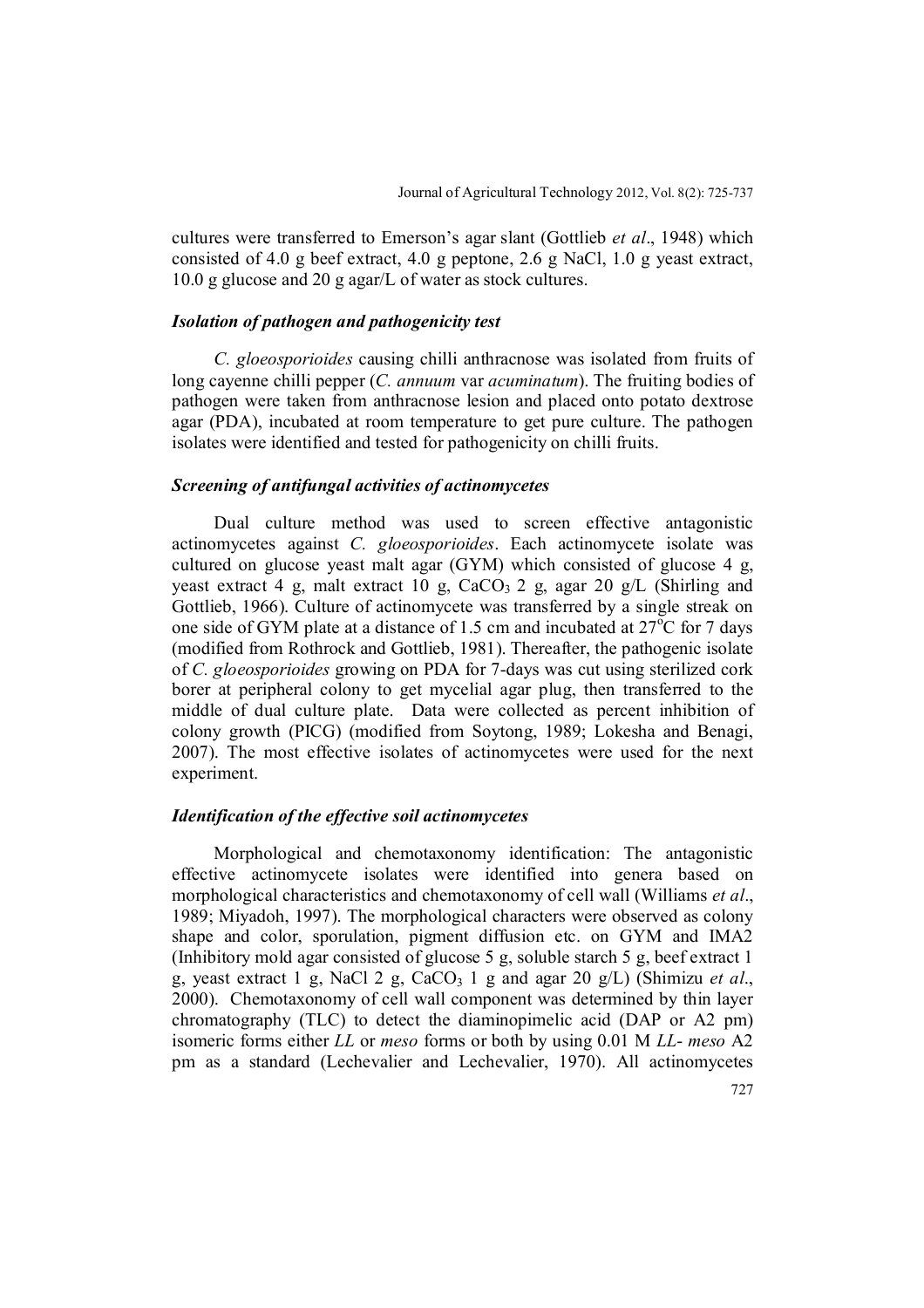cultures were transferred to Emerson's agar slant (Gottlieb *et al*., 1948) which consisted of 4.0 g beef extract, 4.0 g peptone, 2.6 g NaCl, 1.0 g yeast extract, 10.0 g glucose and 20 g agar/L of water as stock cultures.

### *Isolation of pathogen and pathogenicity test*

*C. gloeosporioides* causing chilli anthracnose was isolated from fruits of long cayenne chilli pepper (*C. annuum* var *acuminatum*). The fruiting bodies of pathogen were taken from anthracnose lesion and placed onto potato dextrose agar (PDA), incubated at room temperature to get pure culture. The pathogen isolates were identified and tested for pathogenicity on chilli fruits.

### *Screening of antifungal activities of actinomycetes*

Dual culture method was used to screen effective antagonistic actinomycetes against *C. gloeosporioides*. Each actinomycete isolate was cultured on glucose yeast malt agar (GYM) which consisted of glucose 4 g, yeast extract 4 g, malt extract 10 g,  $CaCO<sub>3</sub> 2$  g, agar 20 g/L (Shirling and Gottlieb, 1966). Culture of actinomycete was transferred by a single streak on one side of GYM plate at a distance of 1.5 cm and incubated at  $27^{\circ}$ C for 7 days (modified from Rothrock and Gottlieb, 1981). Thereafter, the pathogenic isolate of *C. gloeosporioides* growing on PDA for 7-days was cut using sterilized cork borer at peripheral colony to get mycelial agar plug, then transferred to the middle of dual culture plate. Data were collected as percent inhibition of colony growth (PICG) (modified from Soytong, 1989; Lokesha and Benagi, 2007). The most effective isolates of actinomycetes were used for the next experiment.

#### *Identification of the effective soil actinomycetes*

Morphological and chemotaxonomy identification: The antagonistic effective actinomycete isolates were identified into genera based on morphological characteristics and chemotaxonomy of cell wall (Williams *et al*., 1989; Miyadoh, 1997). The morphological characters were observed as colony shape and color, sporulation, pigment diffusion etc. on GYM and IMA2 (Inhibitory mold agar consisted of glucose 5 g, soluble starch 5 g, beef extract 1 g, yeast extract 1 g, NaCl 2 g, CaCO<sub>3</sub> 1 g and agar 20 g/L) (Shimizu *et al.*, 2000). Chemotaxonomy of cell wall component was determined by thin layer chromatography (TLC) to detect the diaminopimelic acid (DAP or A2 pm) isomeric forms either *LL* or *meso* forms or both by using 0.01 M *LL*- *meso* A2 pm as a standard (Lechevalier and Lechevalier, 1970). All actinomycetes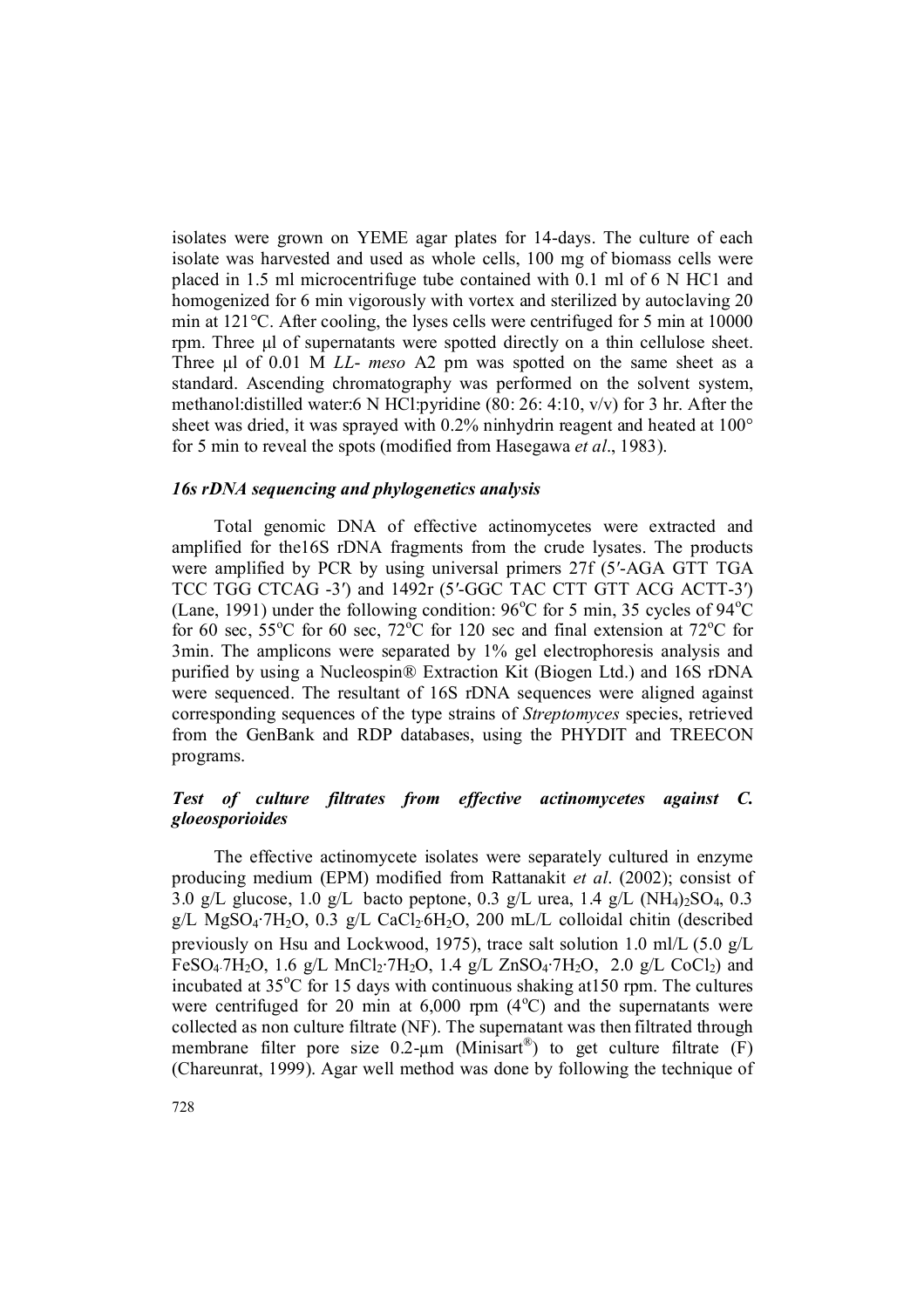isolates were grown on YEME agar plates for 14-days. The culture of each isolate was harvested and used as whole cells, 100 mg of biomass cells were placed in 1.5 ml microcentrifuge tube contained with 0.1 ml of 6 N HC1 and homogenized for 6 min vigorously with vortex and sterilized by autoclaving 20 min at 121°C. After cooling, the lyses cells were centrifuged for 5 min at 10000 rpm. Three μl of supernatants were spotted directly on a thin cellulose sheet. Three μl of 0.01 M *LL*- *meso* A2 pm was spotted on the same sheet as a standard. Ascending chromatography was performed on the solvent system, methanol:distilled water:6 N HCl:pyridine (80: 26: 4:10, v/v) for 3 hr. After the sheet was dried, it was sprayed with 0.2% ninhydrin reagent and heated at 100° for 5 min to reveal the spots (modified from Hasegawa *et al*., 1983).

### *16s rDNA sequencing and phylogenetics analysis*

Total genomic DNA of effective actinomycetes were extracted and amplified for the16S rDNA fragments from the crude lysates. The products were amplified by PCR by using universal primers 27f (5′-AGA GTT TGA TCC TGG CTCAG -3′) and 1492r (5′-GGC TAC CTT GTT ACG ACTT-3′) (Lane, 1991) under the following condition:  $96^{\circ}$ C for 5 min, 35 cycles of  $94^{\circ}$ C for 60 sec,  $55^{\circ}$ C for 60 sec,  $72^{\circ}$ C for 120 sec and final extension at  $72^{\circ}$ C for 3min. The amplicons were separated by 1% gel electrophoresis analysis and purified by using a Nucleospin® Extraction Kit (Biogen Ltd.) and 16S rDNA were sequenced. The resultant of 16S rDNA sequences were aligned against corresponding sequences of the type strains of *Streptomyces* species, retrieved from the GenBank and RDP databases, using the PHYDIT and TREECON programs.

# *Test of culture filtrates from effective actinomycetes against C. gloeosporioides*

The effective actinomycete isolates were separately cultured in enzyme producing medium (EPM) modified from Rattanakit *et al*. (2002); consist of 3.0 g/L glucose, 1.0 g/L bacto peptone, 0.3 g/L urea, 1.4 g/L (NH<sub>4</sub>)<sub>2</sub>SO<sub>4</sub>, 0.3 g/L MgSO<sub>4</sub>·7H<sub>2</sub>O, 0.3 g/L CaCl<sub>2</sub>·6H<sub>2</sub>O, 200 mL/L colloidal chitin (described previously on Hsu and Lockwood, 1975), trace salt solution 1.0 ml/L (5.0 g/L FeSO<sub>4</sub>·7H<sub>2</sub>O, 1.6 g/L MnCl<sub>2</sub>·7H<sub>2</sub>O, 1.4 g/L ZnSO<sub>4</sub>·7H<sub>2</sub>O, 2.0 g/L CoCl<sub>2</sub>) and incubated at  $35^{\circ}$ C for 15 days with continuous shaking at 150 rpm. The cultures were centrifuged for 20 min at  $6,000$  rpm  $(4^{\circ}C)$  and the supernatants were collected as non culture filtrate (NF). The supernatant was then filtrated through membrane filter pore size  $0.2$ - $\mu$ m (Minisart<sup>®</sup>) to get culture filtrate (F) (Chareunrat, 1999). Agar well method was done by following the technique of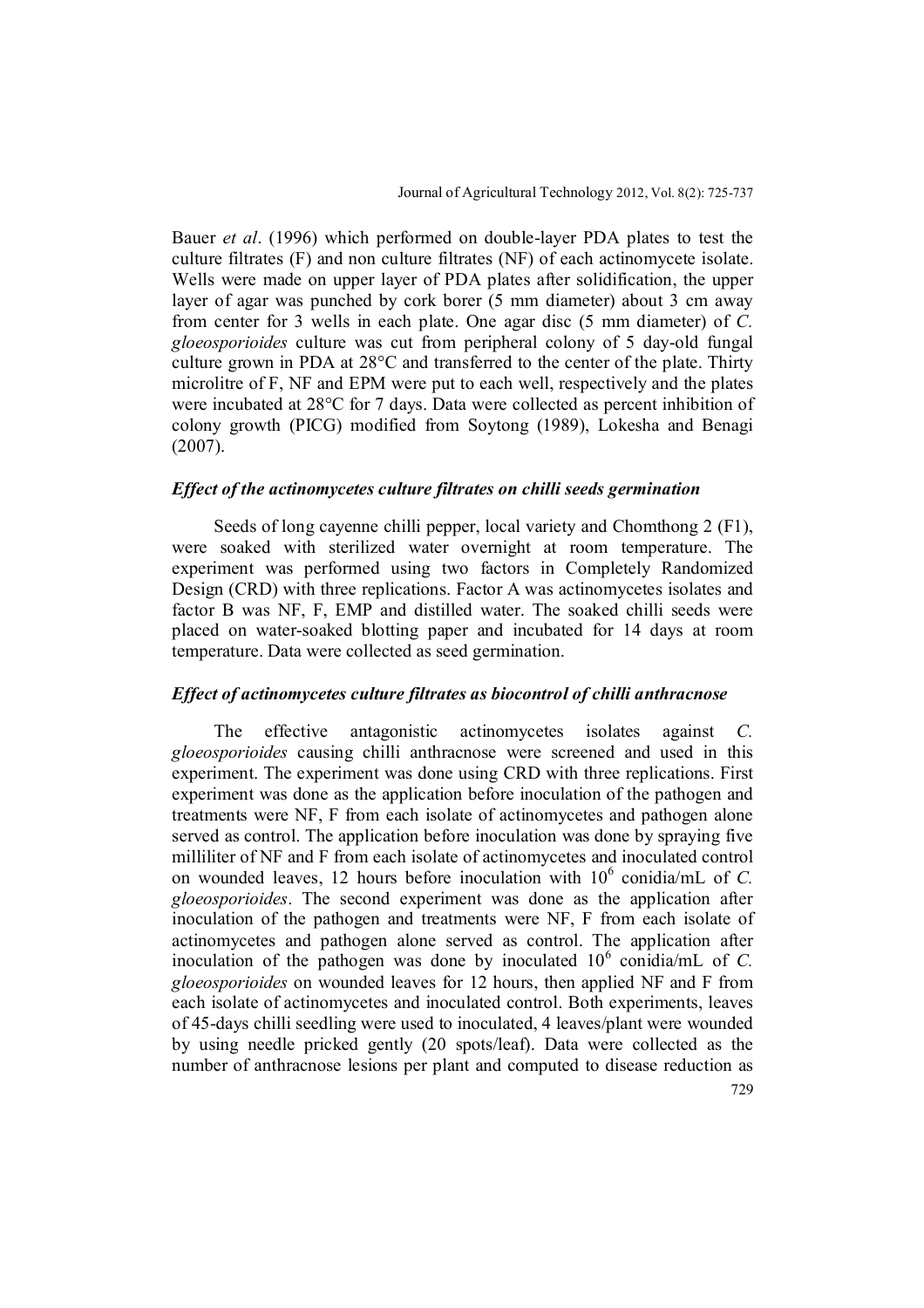Bauer *et al*. (1996) which performed on double-layer PDA plates to test the culture filtrates (F) and non culture filtrates (NF) of each actinomycete isolate. Wells were made on upper layer of PDA plates after solidification, the upper layer of agar was punched by cork borer (5 mm diameter) about 3 cm away from center for 3 wells in each plate. One agar disc (5 mm diameter) of *C. gloeosporioides* culture was cut from peripheral colony of 5 day-old fungal culture grown in PDA at 28°C and transferred to the center of the plate. Thirty microlitre of F, NF and EPM were put to each well, respectively and the plates were incubated at 28°C for 7 days. Data were collected as percent inhibition of colony growth (PICG) modified from Soytong (1989), Lokesha and Benagi (2007).

### *Effect of the actinomycetes culture filtrates on chilli seeds germination*

Seeds of long cayenne chilli pepper, local variety and Chomthong 2 (F1), were soaked with sterilized water overnight at room temperature. The experiment was performed using two factors in Completely Randomized Design (CRD) with three replications. Factor A was actinomycetes isolates and factor B was NF, F, EMP and distilled water. The soaked chilli seeds were placed on water-soaked blotting paper and incubated for 14 days at room temperature. Data were collected as seed germination.

#### *Effect of actinomycetes culture filtrates as biocontrol of chilli anthracnose*

The effective antagonistic actinomycetes isolates against *C. gloeosporioides* causing chilli anthracnose were screened and used in this experiment. The experiment was done using CRD with three replications. First experiment was done as the application before inoculation of the pathogen and treatments were NF, F from each isolate of actinomycetes and pathogen alone served as control. The application before inoculation was done by spraying five milliliter of NF and F from each isolate of actinomycetes and inoculated control on wounded leaves, 12 hours before inoculation with  $10^6$  conidia/mL of *C*. *gloeosporioides*. The second experiment was done as the application after inoculation of the pathogen and treatments were NF, F from each isolate of actinomycetes and pathogen alone served as control. The application after inoculation of the pathogen was done by inoculated  $10^6$  conidia/mL of *C*. *gloeosporioides* on wounded leaves for 12 hours, then applied NF and F from each isolate of actinomycetes and inoculated control. Both experiments, leaves of 45-days chilli seedling were used to inoculated, 4 leaves/plant were wounded by using needle pricked gently (20 spots/leaf). Data were collected as the number of anthracnose lesions per plant and computed to disease reduction as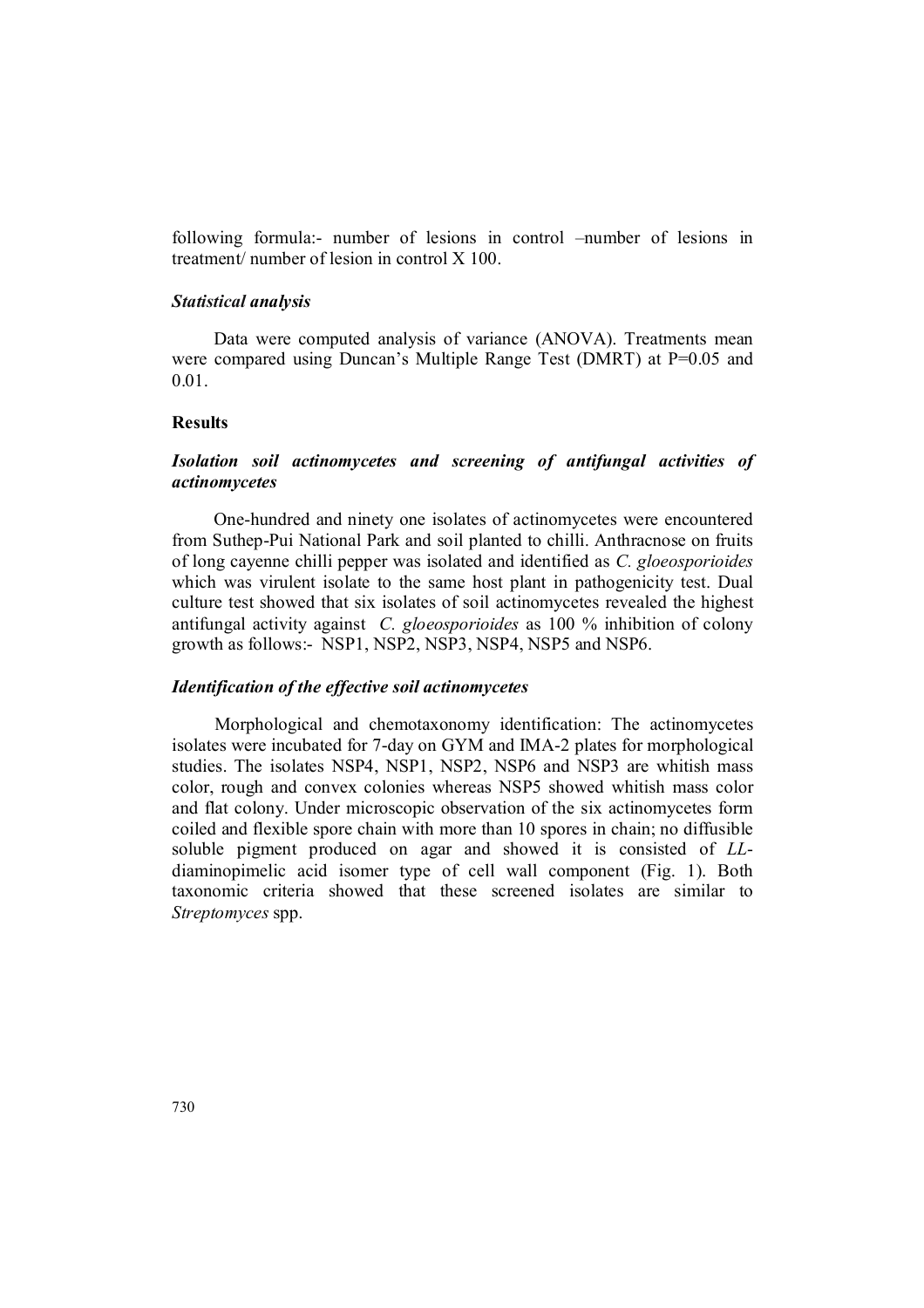following formula:- number of lesions in control –number of lesions in treatment/ number of lesion in control X 100.

### *Statistical analysis*

Data were computed analysis of variance (ANOVA). Treatments mean were compared using Duncan's Multiple Range Test (DMRT) at P=0.05 and 0.01.

### **Results**

# *Isolation soil actinomycetes and screening of antifungal activities of actinomycetes*

One-hundred and ninety one isolates of actinomycetes were encountered from Suthep-Pui National Park and soil planted to chilli. Anthracnose on fruits of long cayenne chilli pepper was isolated and identified as *C. gloeosporioides* which was virulent isolate to the same host plant in pathogenicity test. Dual culture test showed that six isolates of soil actinomycetes revealed the highest antifungal activity against *C. gloeosporioides* as 100 % inhibition of colony growth as follows:- NSP1, NSP2, NSP3, NSP4, NSP5 and NSP6.

#### *Identification of the effective soil actinomycetes*

Morphological and chemotaxonomy identification: The actinomycetes isolates were incubated for 7-day on GYM and IMA-2 plates for morphological studies. The isolates NSP4, NSP1, NSP2, NSP6 and NSP3 are whitish mass color, rough and convex colonies whereas NSP5 showed whitish mass color and flat colony. Under microscopic observation of the six actinomycetes form coiled and flexible spore chain with more than 10 spores in chain; no diffusible soluble pigment produced on agar and showed it is consisted of *LL*diaminopimelic acid isomer type of cell wall component (Fig. 1). Both taxonomic criteria showed that these screened isolates are similar to *Streptomyces* spp.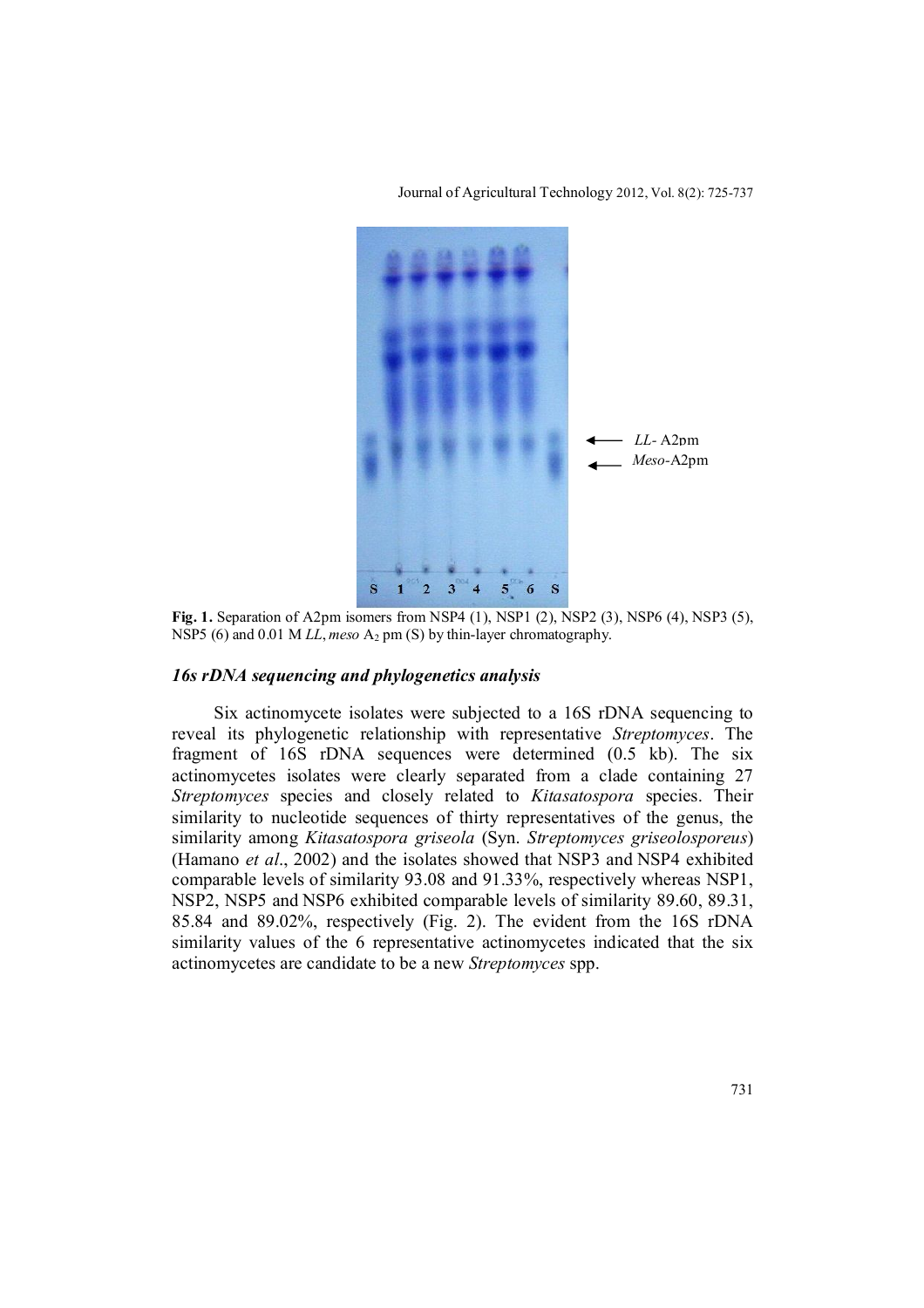

Journal of Agricultural Technology 2012, Vol. 8(2): 725-737

**Fig. 1.** Separation of A2pm isomers from NSP4 (1), NSP1 (2), NSP2 (3), NSP6 (4), NSP3 (5), NSP5 (6) and 0.01 M *LL*, meso A<sub>2</sub> pm (S) by thin-layer chromatography.

# *16s rDNA sequencing and phylogenetics analysis*

Six actinomycete isolates were subjected to a 16S rDNA sequencing to reveal its phylogenetic relationship with representative *Streptomyces*. The fragment of 16S rDNA sequences were determined (0.5 kb). The six actinomycetes isolates were clearly separated from a clade containing 27 *Streptomyces* species and closely related to *Kitasatospora* species. Their similarity to nucleotide sequences of thirty representatives of the genus, the similarity among *Kitasatospora griseola* (Syn. *Streptomyces griseolosporeus*) (Hamano *et al*., 2002) and the isolates showed that NSP3 and NSP4 exhibited comparable levels of similarity 93.08 and 91.33%, respectively whereas NSP1, NSP2, NSP5 and NSP6 exhibited comparable levels of similarity 89.60, 89.31, 85.84 and 89.02%, respectively (Fig. 2). The evident from the 16S rDNA similarity values of the 6 representative actinomycetes indicated that the six actinomycetes are candidate to be a new *Streptomyces* spp.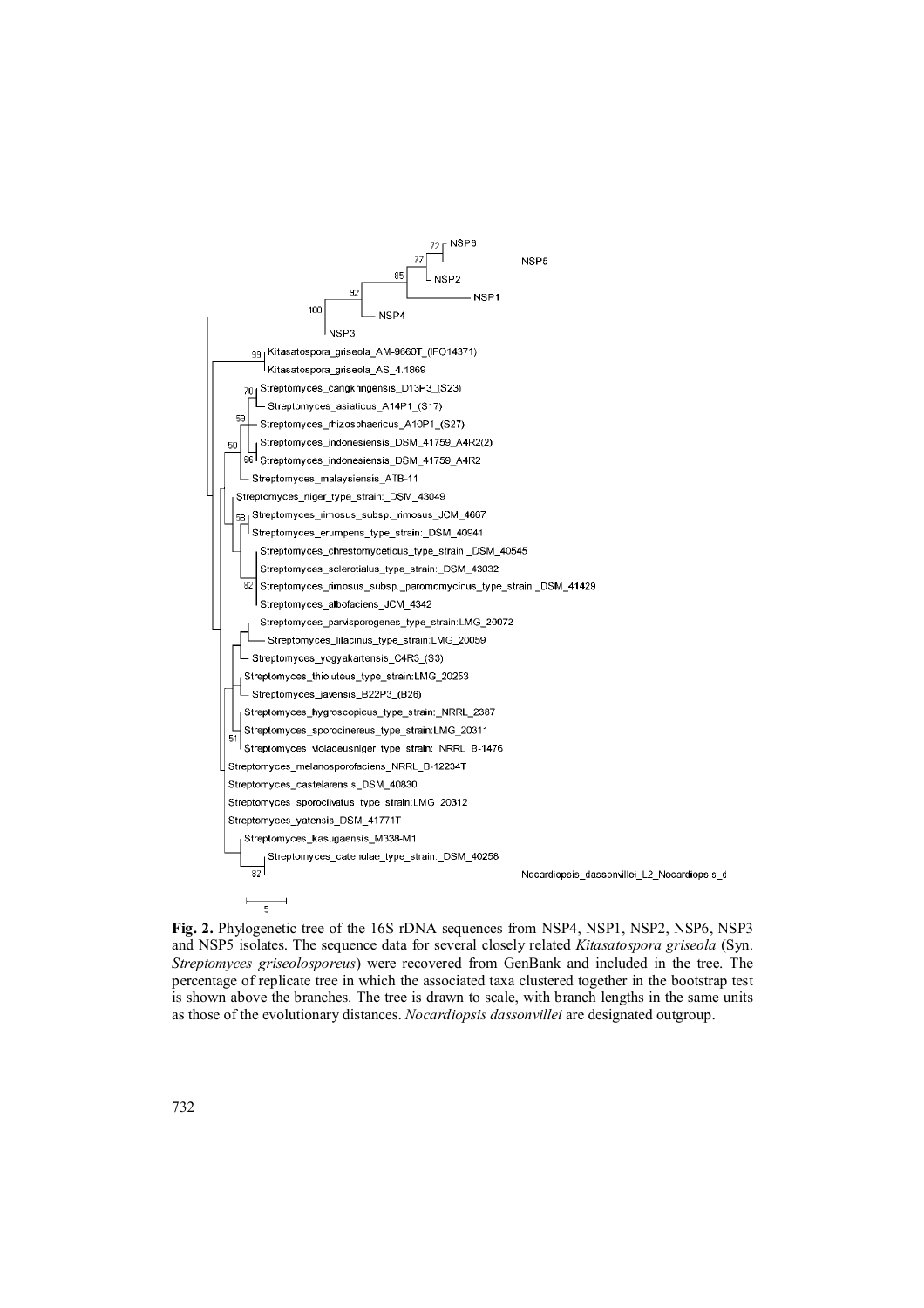

**Fig. 2.** Phylogenetic tree of the 16S rDNA sequences from NSP4, NSP1, NSP2, NSP6, NSP3 and NSP5 isolates. The sequence data for several closely related *Kitasatospora griseola* (Syn. *Streptomyces griseolosporeus*) were recovered from GenBank and included in the tree. The percentage of replicate tree in which the associated taxa clustered together in the bootstrap test is shown above the branches. The tree is drawn to scale, with branch lengths in the same units as those of the evolutionary distances. *Nocardiopsis dassonvillei* are designated outgroup.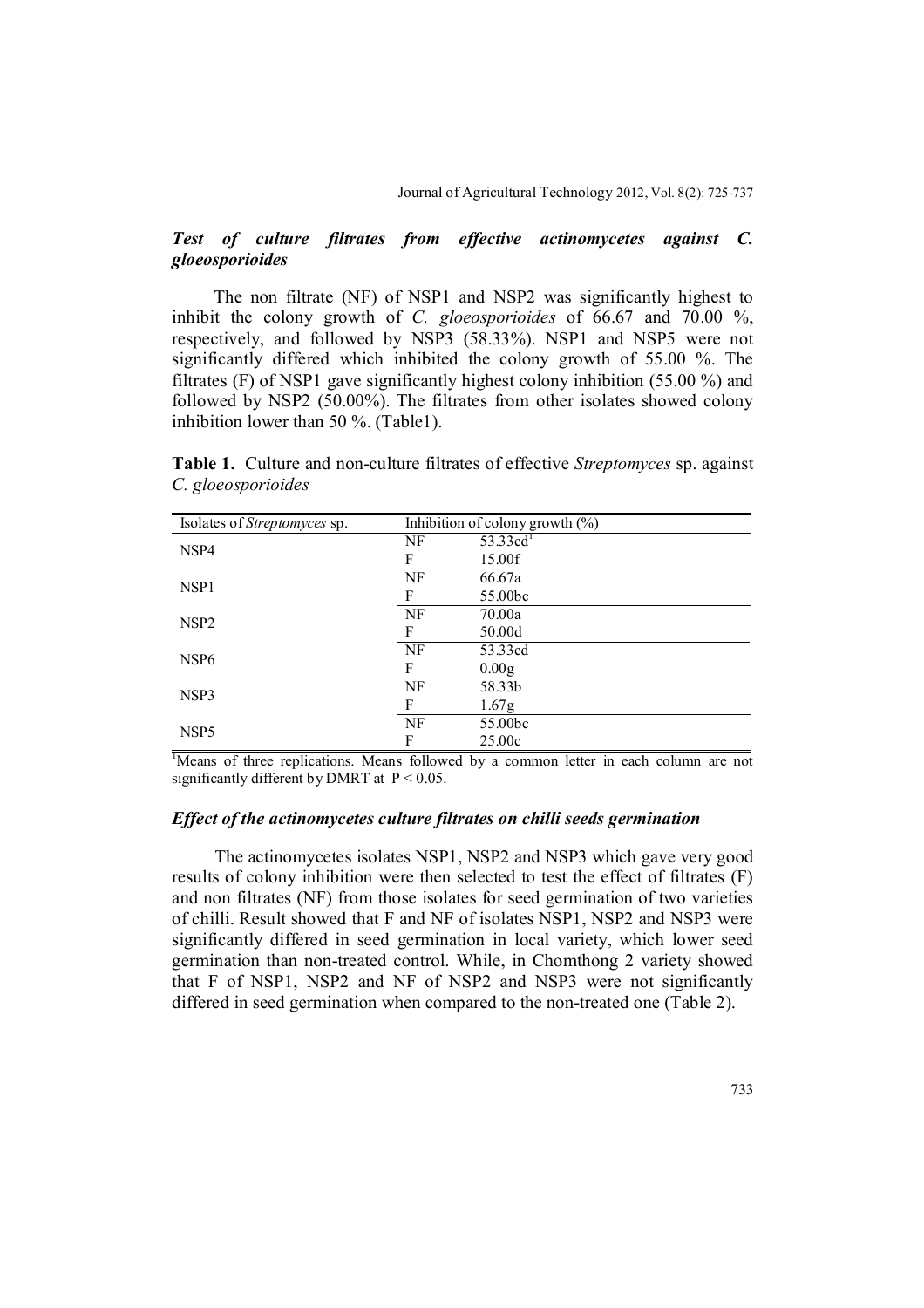## *Test of culture filtrates from effective actinomycetes against C. gloeosporioides*

The non filtrate (NF) of NSP1 and NSP2 was significantly highest to inhibit the colony growth of *C. gloeosporioides* of 66.67 and 70.00 %, respectively, and followed by NSP3 (58.33%). NSP1 and NSP5 were not significantly differed which inhibited the colony growth of 55.00 %. The filtrates (F) of NSP1 gave significantly highest colony inhibition (55.00 %) and followed by NSP2 (50.00%). The filtrates from other isolates showed colony inhibition lower than 50 %. (Table1).

**Table 1.** Culture and non-culture filtrates of effective *Streptomyces* sp. against *C. gloeosporioides*

| Isolates of Streptomyces sp. | Inhibition of colony growth $(\%)$ |                   |
|------------------------------|------------------------------------|-------------------|
| NSP4                         | NF                                 | 53.33 $cd^{1}$    |
|                              | F                                  | 15.00f            |
| NSP <sub>1</sub>             | NF                                 | 66.67a            |
|                              | F                                  | 55.00bc           |
| NSP <sub>2</sub>             | NF                                 | 70.00a            |
|                              | F                                  | 50.00d            |
| NSP <sub>6</sub>             | NF                                 | 53.33cd           |
|                              | F                                  | 0.00 <sub>g</sub> |
| NSP3                         | NF                                 | 58.33b            |
|                              | F                                  | 1.67 <sub>g</sub> |
| NSP <sub>5</sub>             | NF                                 | 55.00bc           |
|                              | F                                  | 25.00c            |

<sup>&</sup>lt;sup>1</sup>Means of three replications. Means followed by a common letter in each column are not significantly different by DMRT at  $P < 0.05$ .

#### *Effect of the actinomycetes culture filtrates on chilli seeds germination*

The actinomycetes isolates NSP1, NSP2 and NSP3 which gave very good results of colony inhibition were then selected to test the effect of filtrates (F) and non filtrates (NF) from those isolates for seed germination of two varieties of chilli. Result showed that F and NF of isolates NSP1, NSP2 and NSP3 were significantly differed in seed germination in local variety, which lower seed germination than non-treated control. While, in Chomthong 2 variety showed that F of NSP1, NSP2 and NF of NSP2 and NSP3 were not significantly differed in seed germination when compared to the non-treated one (Table 2).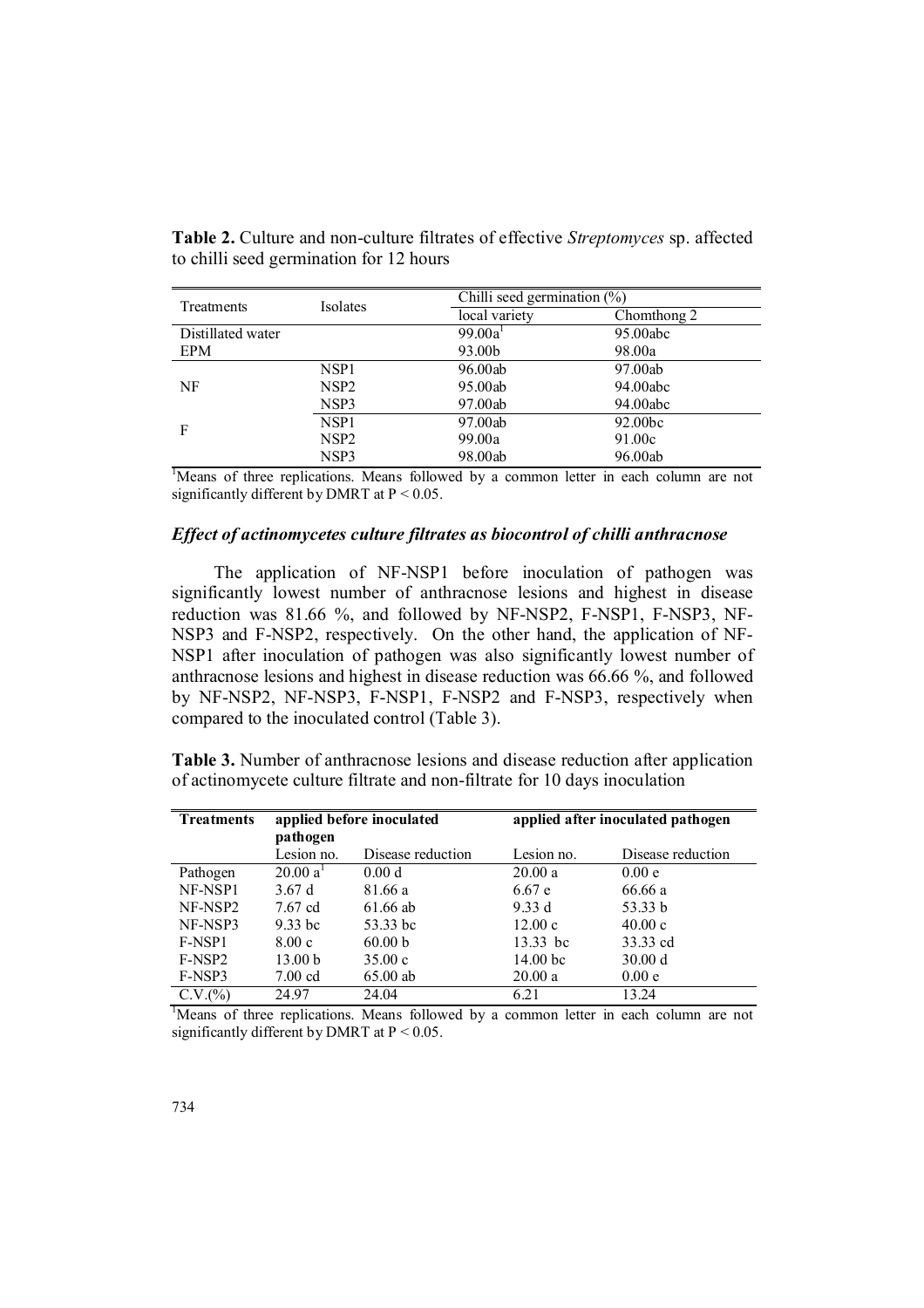| Treatments        | Isolates         | Chilli seed germination (%) |             |  |
|-------------------|------------------|-----------------------------|-------------|--|
|                   |                  | local variety               | Chomthong 2 |  |
| Distillated water |                  | 99.00a <sup>1</sup>         | 95.00abc    |  |
| <b>EPM</b>        |                  | 93.00b                      | 98.00a      |  |
|                   | NSP1             | 96.00ab                     | 97.00ab     |  |
| NF                | NSP2             | 95.00ab                     | 94.00abc    |  |
|                   | NSP3             | 97.00ab                     | 94.00abc    |  |
| F                 | NSP <sub>1</sub> | 97.00ab                     | 92.00bc     |  |
|                   | NSP2             | 99.00a                      | 91.00c      |  |
|                   | NSP3             | 98.00ab                     | 96.00ab     |  |

**Table 2.** Culture and non-culture filtrates of effective *Streptomyces* sp. affected to chilli seed germination for 12 hours

<sup>1</sup>Means of three replications. Means followed by a common letter in each column are not significantly different by DMRT at  $P < 0.05$ .

### *Effect of actinomycetes culture filtrates as biocontrol of chilli anthracnose*

The application of NF-NSP1 before inoculation of pathogen was significantly lowest number of anthracnose lesions and highest in disease reduction was 81.66 %, and followed by NF-NSP2, F-NSP1, F-NSP3, NF-NSP3 and F-NSP2, respectively. On the other hand, the application of NF-NSP1 after inoculation of pathogen was also significantly lowest number of anthracnose lesions and highest in disease reduction was 66.66 %, and followed by NF-NSP2, NF-NSP3, F-NSP1, F-NSP2 and F-NSP3, respectively when compared to the inoculated control (Table 3).

**Table 3.** Number of anthracnose lesions and disease reduction after application of actinomycete culture filtrate and non-filtrate for 10 days inoculation

| <b>Treatments</b> | applied before inoculated<br>pathogen |                   | applied after inoculated pathogen |                   |
|-------------------|---------------------------------------|-------------------|-----------------------------------|-------------------|
|                   | Lesion no.                            | Disease reduction | Lesion no.                        | Disease reduction |
| Pathogen          | 20.00 a <sup>T</sup>                  | 0.00 <sub>d</sub> | 20.00a                            | 0.00e             |
| NF-NSP1           | 3.67d                                 | 81.66 a           | 6.67e                             | 66.66 a           |
| NF-NSP2           | 7.67 cd                               | 61.66 ab          | 9.33 d                            | 53.33 b           |
| NF-NSP3           | $9.33$ bc                             | 53.33 bc          | 12.00c                            | 40.00c            |
| F-NSP1            | 8.00c                                 | 60.00 b           | 13.33 bc                          | 33.33 cd          |
| F-NSP2            | 13.00 <sub>b</sub>                    | 35.00c            | 14.00 <sub>bc</sub>               | 30.00 d           |
| F-NSP3            | $7.00 \text{ cd}$                     | $65.00$ ab        | 20.00a                            | 0.00e             |
| C.V.(%)           | 24.97                                 | 24.04             | 6.21                              | 13.24             |

<sup>1</sup>Means of three replications. Means followed by a common letter in each column are not significantly different by DMRT at  $P < 0.05$ .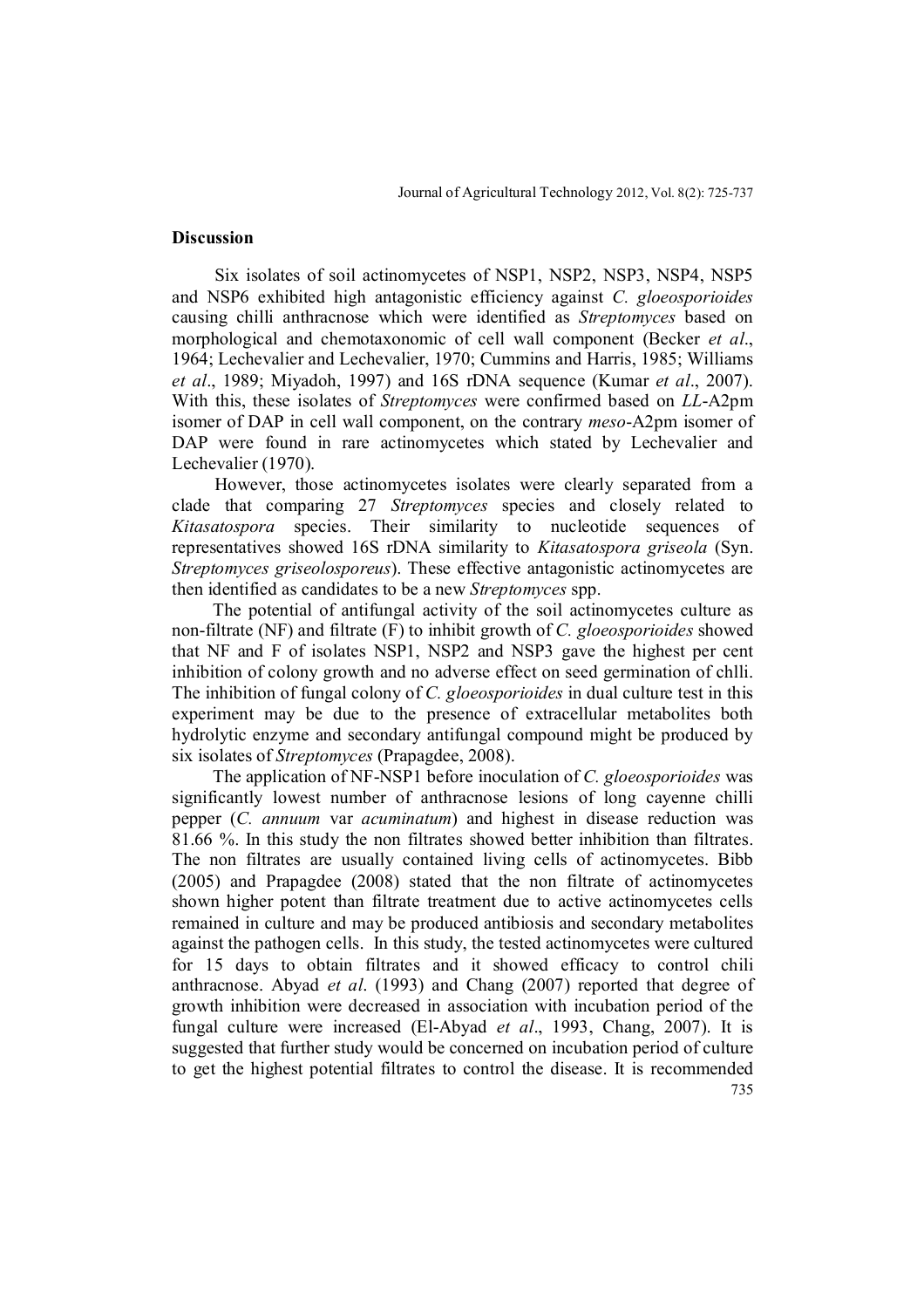#### **Discussion**

Six isolates of soil actinomycetes of NSP1, NSP2, NSP3, NSP4, NSP5 and NSP6 exhibited high antagonistic efficiency against *C. gloeosporioides* causing chilli anthracnose which were identified as *Streptomyces* based on morphological and chemotaxonomic of cell wall component (Becker *et al*., 1964; Lechevalier and Lechevalier, 1970; Cummins and Harris, 1985; Williams *et al*., 1989; Miyadoh, 1997) and 16S rDNA sequence (Kumar *et al*., 2007). With this, these isolates of *Streptomyces* were confirmed based on *LL*-A2pm isomer of DAP in cell wall component, on the contrary *meso*-A2pm isomer of DAP were found in rare actinomycetes which stated by Lechevalier and Lechevalier (1970).

However, those actinomycetes isolates were clearly separated from a clade that comparing 27 *Streptomyces* species and closely related to *Kitasatospora* species. Their similarity to nucleotide sequences of representatives showed 16S rDNA similarity to *Kitasatospora griseola* (Syn. *Streptomyces griseolosporeus*). These effective antagonistic actinomycetes are then identified as candidates to be a new *Streptomyces* spp.

The potential of antifungal activity of the soil actinomycetes culture as non-filtrate (NF) and filtrate (F) to inhibit growth of *C. gloeosporioides* showed that NF and F of isolates NSP1, NSP2 and NSP3 gave the highest per cent inhibition of colony growth and no adverse effect on seed germination of chlli. The inhibition of fungal colony of *C. gloeosporioides* in dual culture test in this experiment may be due to the presence of extracellular metabolites both hydrolytic enzyme and secondary antifungal compound might be produced by six isolates of *Streptomyces* (Prapagdee, 2008).

735 The application of NF-NSP1 before inoculation of *C. gloeosporioides* was significantly lowest number of anthracnose lesions of long cayenne chilli pepper (*C. annuum* var *acuminatum*) and highest in disease reduction was 81.66 %. In this study the non filtrates showed better inhibition than filtrates. The non filtrates are usually contained living cells of actinomycetes. Bibb (2005) and Prapagdee (2008) stated that the non filtrate of actinomycetes shown higher potent than filtrate treatment due to active actinomycetes cells remained in culture and may be produced antibiosis and secondary metabolites against the pathogen cells. In this study, the tested actinomycetes were cultured for 15 days to obtain filtrates and it showed efficacy to control chili anthracnose. Abyad *et al*. (1993) and Chang (2007) reported that degree of growth inhibition were decreased in association with incubation period of the fungal culture were increased (El-Abyad *et al*., 1993, Chang, 2007). It is suggested that further study would be concerned on incubation period of culture to get the highest potential filtrates to control the disease. It is recommended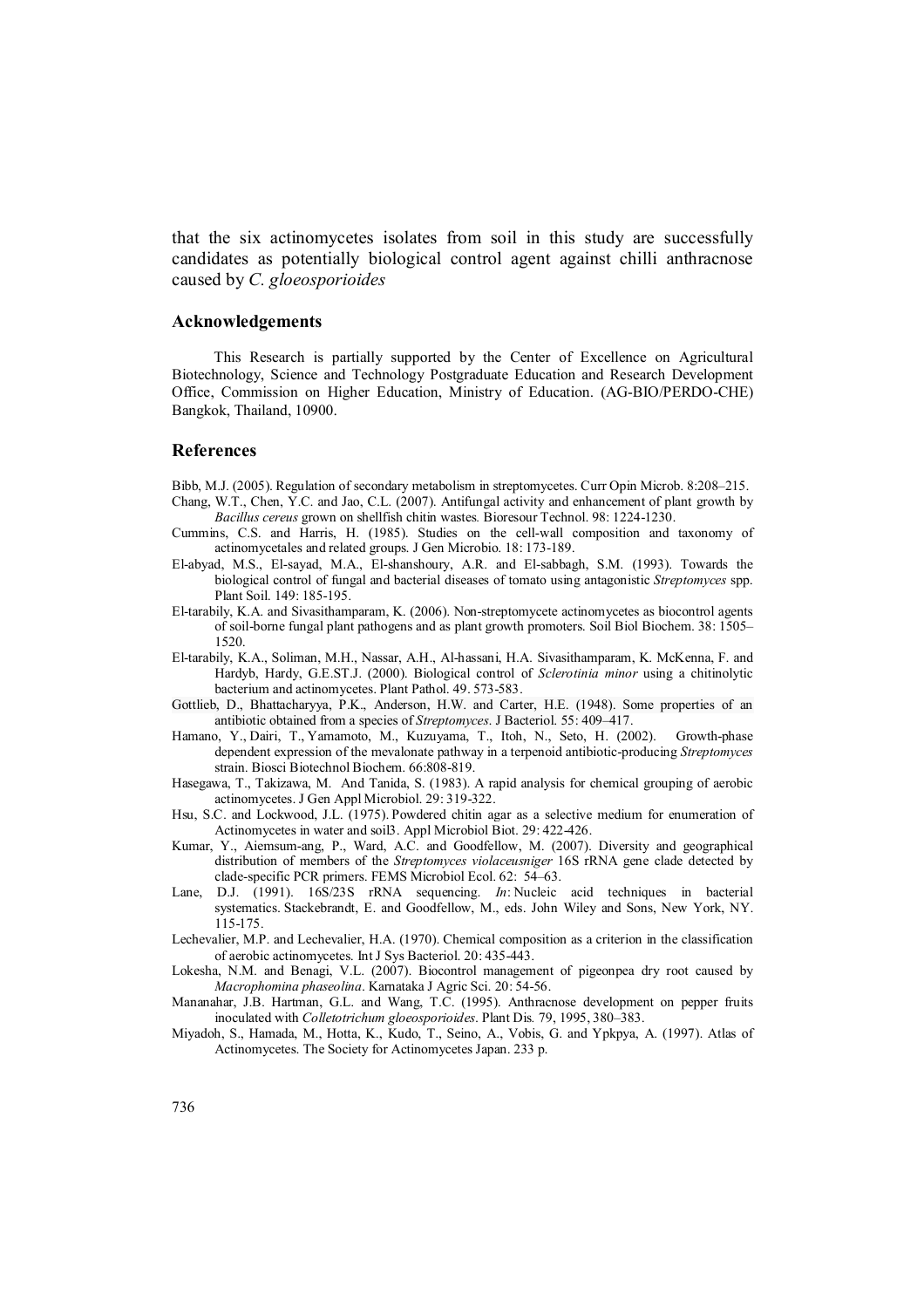that the six actinomycetes isolates from soil in this study are successfully candidates as potentially biological control agent against chilli anthracnose caused by *C. gloeosporioides*

#### **Acknowledgements**

This Research is partially supported by the Center of Excellence on Agricultural Biotechnology, Science and Technology Postgraduate Education and Research Development Office, Commission on Higher Education, Ministry of Education. (AG-BIO/PERDO-CHE) Bangkok, Thailand, 10900.

#### **References**

- Bibb, M.J. (2005). Regulation of secondary metabolism in streptomycetes. Curr Opin Microb. 8:208–215.
- Chang, W.T., Chen, Y.C. and Jao, C.L. (2007). Antifungal activity and enhancement of plant growth by *Bacillus cereus* grown on shellfish chitin wastes*.* Bioresour Technol. 98: 1224-1230.
- Cummins, C.S. and Harris, H. (1985). Studies on the cell-wall composition and taxonomy of actinomycetales and related groups. J Gen Microbio. 18: 173-189.
- El-abyad, M.S., El-sayad, M.A., El-shanshoury, A.R. and El-sabbagh, S.M. (1993). Towards the biological control of fungal and bacterial diseases of tomato using antagonistic *Streptomyces* spp. Plant Soil. 149: 185-195.
- El-tarabily, K.A. and Sivasithamparam, K. (2006). Non-streptomycete actinomycetes as biocontrol agents of soil-borne fungal plant pathogens and as plant growth promoters. Soil Biol Biochem. 38: 1505– 1520.
- El-tarabily, K.A., Soliman, M.H., Nassar, A.H., Al-hassani, H.A. Sivasithamparam, K. McKenna, F. and Hardyb, Hardy, G.E.ST.J. (2000). Biological control of *Sclerotinia minor* using a chitinolytic bacterium and actinomycetes. Plant Pathol. 49. 573-583.
- Gottlieb, D., Bhattacharyya, P.K., Anderson, H.W. and Carter, H.E. (1948). Some properties of an antibiotic obtained from a species of *Streptomyces*. J Bacteriol. 55: 409–417.
- Hamano, Y., Dairi, T., Yamamoto, M., Kuzuyama, T., Itoh, N., Seto, H. (2002). Growth-phase dependent expression of the mevalonate pathway in a terpenoid antibiotic-producing *Streptomyces* strain. Biosci Biotechnol Biochem. 66:808-819.
- Hasegawa, T., Takizawa, M. And Tanida, S. (1983). A rapid analysis for chemical grouping of aerobic actinomycetes. J Gen Appl Microbiol. 29: 319-322.
- Hsu, S.C. and Lockwood, J.L. (1975). Powdered chitin agar as a selective medium for enumeration of Actinomycetes in water and soil3. Appl Microbiol Biot. 29: 422-426.
- Kumar, Y., Aiemsum-ang, P., Ward, A.C. and Goodfellow, M. (2007). Diversity and geographical distribution of members of the *Streptomyces violaceusniger* 16S rRNA gene clade detected by clade-specific PCR primers. FEMS Microbiol Ecol. 62: 54–63.
- Lane, D.J. (1991). 16S/23S rRNA sequencing. *In*: Nucleic acid techniques in bacterial systematics. Stackebrandt, E. and Goodfellow, M., eds. John Wiley and Sons, New York, NY. 115-175.
- Lechevalier, M.P. and Lechevalier, H.A. (1970). Chemical composition as a criterion in the classification of aerobic actinomycetes. Int J Sys Bacteriol. 20: 435-443.
- Lokesha, N.M. and Benagi, V.L. (2007). Biocontrol management of pigeonpea dry root caused by *Macrophomina phaseolina*. Karnataka J Agric Sci. 20: 54-56.
- Mananahar, J.B. Hartman, G.L. and Wang, T.C. (1995). Anthracnose development on pepper fruits inoculated with *Colletotrichum gloeosporioides*. Plant Dis*.* 79, 1995, 380–383.
- Miyadoh, S., Hamada, M., Hotta, K., Kudo, T., Seino, A., Vobis, G. and Ypkpya, A. (1997). Atlas of Actinomycetes. The Society for Actinomycetes Japan. 233 p.